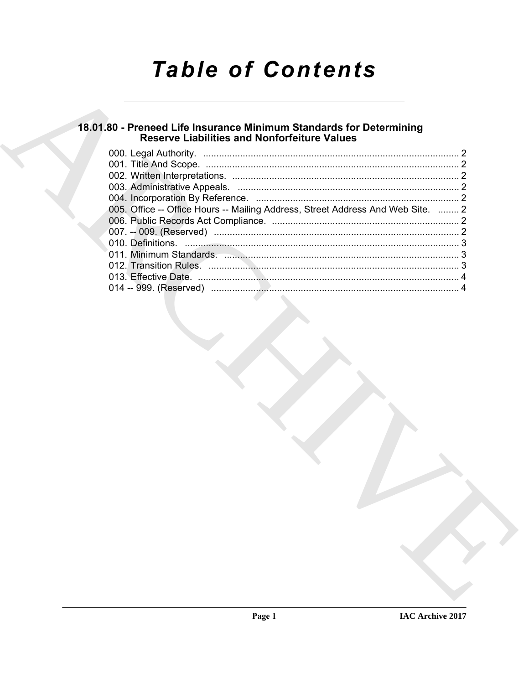# **Table of Contents**

# 18.01.80 - Preneed Life Insurance Minimum Standards for Determining<br>Reserve Liabilities and Nonforfeiture Values

| 005. Office -- Office Hours -- Mailing Address, Street Address And Web Site.  2 |  |
|---------------------------------------------------------------------------------|--|
|                                                                                 |  |
|                                                                                 |  |
|                                                                                 |  |
|                                                                                 |  |
|                                                                                 |  |
|                                                                                 |  |
|                                                                                 |  |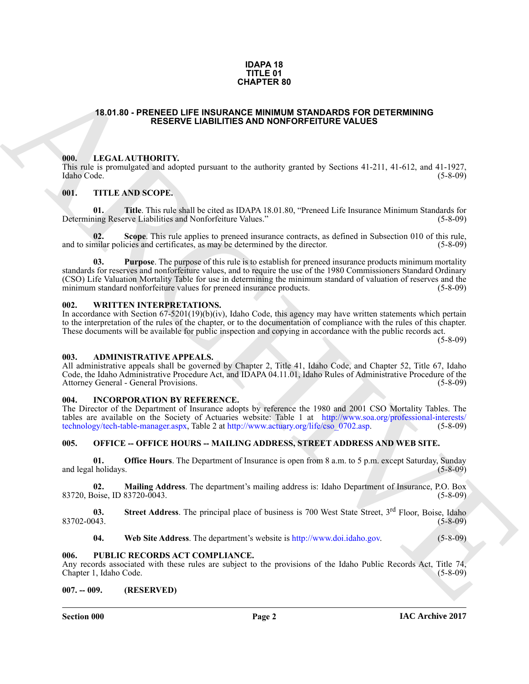#### **IDAPA 18 TITLE 01 CHAPTER 80**

### <span id="page-1-0"></span>**18.01.80 - PRENEED LIFE INSURANCE MINIMUM STANDARDS FOR DETERMINING RESERVE LIABILITIES AND NONFORFEITURE VALUES**

#### <span id="page-1-1"></span>**000. LEGAL AUTHORITY.**

This rule is promulgated and adopted pursuant to the authority granted by Sections 41-211, 41-612, and 41-1927, Idaho Code. (5-8-09)

## <span id="page-1-2"></span>**001. TITLE AND SCOPE.**

**01.** Title. This rule shall be cited as IDAPA 18.01.80, "Preneed Life Insurance Minimum Standards for ning Reserve Liabilities and Nonforfeiture Values." (5-8-09) Determining Reserve Liabilities and Nonforfeiture Values."

**Scope**. This rule applies to preneed insurance contracts, as defined in Subsection 010 of this rule, icies and certificates, as may be determined by the director. (5-8-09) and to similar policies and certificates, as may be determined by the director.

**CHAPTER 89**<br> **CHAPTER 89**<br> **RESER[V](http://www.soa.org/professional-interests/technology/tech-table-manager.aspx)E LIABILITIES AAD NONFORTETIVE VALUES**<br> **CHAPTER 89**<br> **CHAPTER SERVE LIABILITIES AAD NONFORTETIVE VALUES**<br> **CHAPTER SERVE LIABILITIES AAD NONFORTETIVE VALUES**<br> **CHAPTER SERVE LIABILITIES 03. Purpose**. The purpose of this rule is to establish for preneed insurance products minimum mortality standards for reserves and nonforfeiture values, and to require the use of the 1980 Commissioners Standard Ordinary (CSO) Life Valuation Mortality Table for use in determining the minimum standard of valuation of reserves and the minimum standard nonforfeiture values for preneed insurance products. (5-8-09)

#### <span id="page-1-3"></span>**002. WRITTEN INTERPRETATIONS.**

In accordance with Section 67-5201(19)(b)(iv), Idaho Code, this agency may have written statements which pertain to the interpretation of the rules of the chapter, or to the documentation of compliance with the rules of this chapter. These documents will be available for public inspection and copying in accordance with the public records act.

(5-8-09)

#### <span id="page-1-4"></span>**003. ADMINISTRATIVE APPEALS.**

All administrative appeals shall be governed by Chapter 2, Title 41, Idaho Code, and Chapter 52, Title 67, Idaho Code, the Idaho Administrative Procedure Act, and IDAPA 04.11.01, Idaho Rules of Administrative Procedure of the Attorney General - General Provisions. (5-8-09) Attorney General - General Provisions.

# <span id="page-1-5"></span>**004. INCORPORATION BY REFERENCE.**

The Director of the Department of Insurance adopts by reference the 1980 and 2001 CSO Mortality Tables. The tables are available on the Society of Actuaries website: Table 1 at http://www.soa.org/professional-interests/<br>technology/tech-table-manager.aspx, Table 2 at http://www.actuary.org/life/cso 0702.asp. (5-8-09) technology/tech-table-manager.aspx, Table 2 at http://www.actuary.org/life/cso 0702.asp.

#### <span id="page-1-6"></span>**005. OFFICE -- OFFICE HOURS -- MAILING ADDRESS, STREET ADDRESS AND WEB SITE.**

**01. Office Hours**. The Department of Insurance is open from 8 a.m. to 5 p.m. except Saturday, Sunday (bolidays. (5-8-09) and legal holidays.

**02. Mailing Address**. The department's mailing address is: Idaho Department of Insurance, P.O. Box 83720, Boise, ID 83720-0043.

**03.** Street Address. The principal place of business is 700 West State Street, 3<sup>rd</sup> Floor, Boise, Idaho (5-8-09) 83702-0043.

**04. Web Site Address**. The department's website is http://www.doi.idaho.gov. (5-8-09)

# <span id="page-1-7"></span>**006. PUBLIC RECORDS ACT COMPLIANCE.**

Any records associated with these rules are subject to the provisions of the Idaho Public Records Act, Title 74, Chapter 1, Idaho Code. (5-8-09)

# <span id="page-1-8"></span>**007. -- 009. (RESERVED)**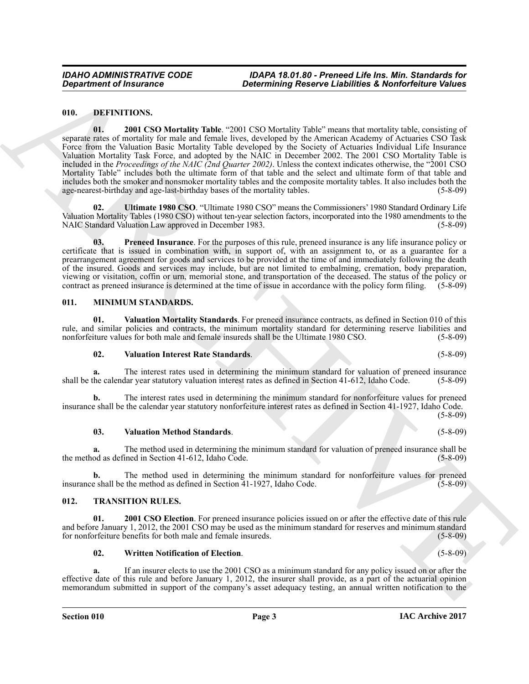## <span id="page-2-4"></span><span id="page-2-3"></span><span id="page-2-0"></span>**010. DEFINITIONS.**

*Department of Insurance*<br>
10. **DEPARTMENT ON SECULAR CONVERGENT CONVERGENT INTERFERENCE INTERFERENCE IN A CONVERGENT CONVERGENT OF THE SECURE CONVERGENT OF THE SECURE CONVERGENT OF THE SECURE CONVERGENT OF THE SECURE C 01. 2001 CSO Mortality Table**. "2001 CSO Mortality Table" means that mortality table, consisting of separate rates of mortality for male and female lives, developed by the American Academy of Actuaries CSO Task Force from the Valuation Basic Mortality Table developed by the Society of Actuaries Individual Life Insurance Valuation Mortality Task Force, and adopted by the NAIC in December 2002. The 2001 CSO Mortality Table is included in the *Proceedings of the NAIC (2nd Quarter 2002)*. Unless the context indicates otherwise, the "2001 CSO Mortality Table" includes both the ultimate form of that table and the select and ultimate form of that table and includes both the smoker and nonsmoker mortality tables and the composite mortality tables. It also includes both the age-nearest-birthday and age-last-birthday bases of the mortality tables.

<span id="page-2-6"></span>**02. Ultimate 1980 CSO**. "Ultimate 1980 CSO" means the Commissioners' 1980 Standard Ordinary Life Valuation Mortality Tables (1980 CSO) without ten-year selection factors, incorporated into the 1980 amendments to the NAIC Standard Valuation Law approved in December 1983. (5-8-09)

<span id="page-2-5"></span>**03. Preneed Insurance**. For the purposes of this rule, preneed insurance is any life insurance policy or certificate that is issued in combination with, in support of, with an assignment to, or as a guarantee for a prearrangement agreement for goods and services to be provided at the time of and immediately following the death of the insured. Goods and services may include, but are not limited to embalming, cremation, body preparation, viewing or visitation, coffin or urn, memorial stone, and transportation of the deceased. The status of the policy or contract as preneed insurance is determined at the time of issue in accordance with the policy form filing. (5-8-09)

#### <span id="page-2-7"></span><span id="page-2-1"></span>**011. MINIMUM STANDARDS.**

**01. Valuation Mortality Standards**. For preneed insurance contracts, as defined in Section 010 of this rule, and similar policies and contracts, the minimum mortality standard for determining reserve liabilities and nonforfeiture values for both male and female insureds shall be the Ultimate 1980 CSO. (5-8-09) nonforfeiture values for both male and female insureds shall be the Ultimate 1980 CSO.

#### <span id="page-2-10"></span><span id="page-2-8"></span>**02. Valuation Interest Rate Standards**. (5-8-09)

**a.** The interest rates used in determining the minimum standard for valuation of preneed insurance the calendar year statutory valuation interest rates as defined in Section 41-612, Idaho Code. (5-8-09) shall be the calendar year statutory valuation interest rates as defined in Section 41-612, Idaho Code.

**b.** The interest rates used in determining the minimum standard for nonforfeiture values for preneed insurance shall be the calendar year statutory nonforfeiture interest rates as defined in Section 41-1927, Idaho Code.

 $(5-8-09)$ 

# <span id="page-2-9"></span>**03. Valuation Method Standards**. (5-8-09)

**a.** The method used in determining the minimum standard for valuation of preneed insurance shall be od as defined in Section 41-612, Idaho Code. (5-8-09) the method as defined in Section 41-612, Idaho Code.

**b.** The method used in determining the minimum standard for nonforfeiture values for preneed e shall be the method as defined in Section 41-1927, Idaho Code. (5-8-09) insurance shall be the method as defined in Section  $41-1927$ , Idaho Code.

# <span id="page-2-11"></span><span id="page-2-2"></span>**012. TRANSITION RULES.**

**01. 2001 CSO Election**. For preneed insurance policies issued on or after the effective date of this rule and before January 1, 2012, the 2001 CSO may be used as the minimum standard for reserves and minimum standard for nonforfeiture benefits for both male and female insureds. (5-8-09) for nonforfeiture benefits for both male and female insureds.

# <span id="page-2-13"></span><span id="page-2-12"></span>**02. Written Notification of Election**. (5-8-09)

**a.** If an insurer elects to use the 2001 CSO as a minimum standard for any policy issued on or after the effective date of this rule and before January 1, 2012, the insurer shall provide, as a part of the actuarial opinion memorandum submitted in support of the company's asset adequacy testing, an annual written notification to the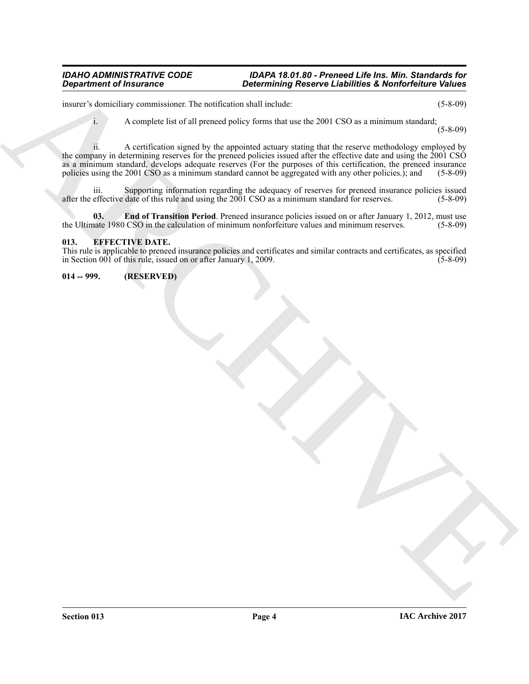#### *IDAHO ADMINISTRATIVE CODE IDAPA 18.01.80 - Preneed Life Ins. Min. Standards for Determining Reserve Liabilities & Nonforfeiture Values*

insurer's domiciliary commissioner. The notification shall include: (5-8-09)

i. A complete list of all preneed policy forms that use the 2001 CSO as a minimum standard;

(5-8-09)

**Department of Insurance and the transfer of the state of Linking Reserve Linkings & Nonforteing Values**<br>
mosets of the systems and the probabilities the transfer of the system of the system of the system of the system of ii. A certification signed by the appointed actuary stating that the reserve methodology employed by the company in determining reserves for the preneed policies issued after the effective date and using the 2001 CSO as a minimum standard, develops adequate reserves (For the purposes of this certification, the preneed insurance policies using the 2001 CSO as a minimum standard cannot be aggregated with any other policies.); and (5-8-09)

iii. Supporting information regarding the adequacy of reserves for preneed insurance policies issued effective date of this rule and using the 2001 CSO as a minimum standard for reserves. (5-8-09) after the effective date of this rule and using the 2001 CSO as a minimum standard for reserves.

<span id="page-3-3"></span>**03. End of Transition Period**. Preneed insurance policies issued on or after January 1, 2012, must use the Ultimate 1980 CSO in the calculation of minimum nonforfeiture values and minimum reserves. (5-8-09)

## <span id="page-3-2"></span><span id="page-3-0"></span>**013. EFFECTIVE DATE.**

This rule is applicable to preneed insurance policies and certificates and similar contracts and certificates, as specified in Section 001 of this rule, issued on or after January 1, 2009. (5-8-09)

# <span id="page-3-1"></span>**014 -- 999. (RESERVED)**